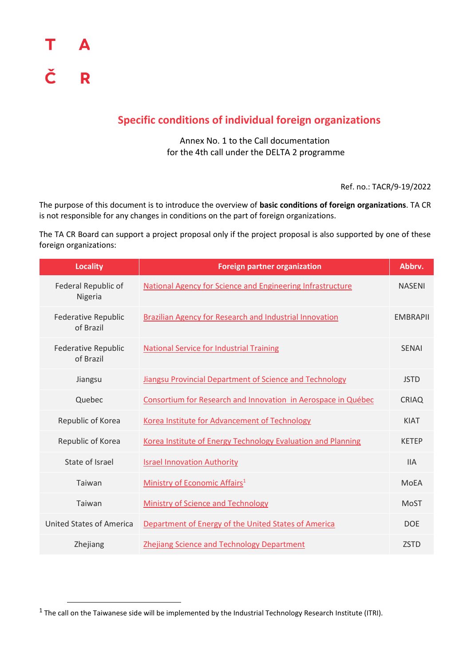$\overline{\phantom{a}}$ 

#### **Specific conditions of individual foreign organizations**

Annex No. 1 to the Call documentation for the 4th call under the DELTA 2 programme

Ref. no.: TACR/9-19/2022

The purpose of this document is to introduce the overview of **basic conditions of foreign organizations**. TA CR is not responsible for any changes in conditions on the part of foreign organizations.

The TA CR Board can support a project proposal only if the project proposal is also supported by one of these foreign organizations:

| <b>Locality</b>                         | <b>Foreign partner organization</b>                            | Abbrv.          |
|-----------------------------------------|----------------------------------------------------------------|-----------------|
| Federal Republic of<br>Nigeria          | National Agency for Science and Engineering Infrastructure     | <b>NASENI</b>   |
| Federative Republic<br>of Brazil        | <b>Brazilian Agency for Research and Industrial Innovation</b> | <b>EMBRAPII</b> |
| <b>Federative Republic</b><br>of Brazil | <b>National Service for Industrial Training</b>                | <b>SENAI</b>    |
| Jiangsu                                 | Jiangsu Provincial Department of Science and Technology        | <b>JSTD</b>     |
| Quebec                                  | Consortium for Research and Innovation in Aerospace in Québec  | <b>CRIAQ</b>    |
| Republic of Korea                       | Korea Institute for Advancement of Technology                  | <b>KIAT</b>     |
| Republic of Korea                       | Korea Institute of Energy Technology Evaluation and Planning   | <b>KETEP</b>    |
| State of Israel                         | <b>Israel Innovation Authority</b>                             | <b>IIA</b>      |
| Taiwan                                  | Ministry of Economic Affairs <sup>1</sup>                      | MoEA            |
| Taiwan                                  | Ministry of Science and Technology                             | <b>MoST</b>     |
| United States of America                | Department of Energy of the United States of America           | <b>DOE</b>      |
| Zhejiang                                | <b>Zhejiang Science and Technology Department</b>              | <b>ZSTD</b>     |

<sup>&</sup>lt;sup>1</sup> The call on the Taiwanese side will be implemented by the Industrial Technology Research Institute (ITRI).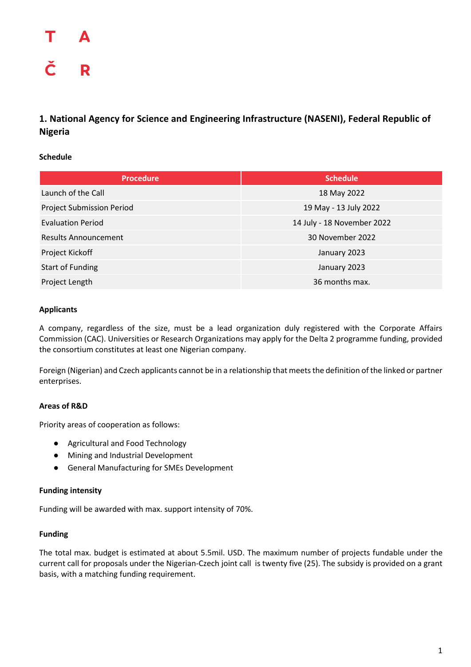### Δ Č R

#### <span id="page-1-0"></span>**1. National Agency for Science and Engineering Infrastructure (NASENI), Federal Republic of Nigeria**

#### **Schedule**

| <b>Procedure</b>            | <b>Schedule</b>            |
|-----------------------------|----------------------------|
| Launch of the Call          | 18 May 2022                |
| Project Submission Period   | 19 May - 13 July 2022      |
| <b>Evaluation Period</b>    | 14 July - 18 November 2022 |
| <b>Results Announcement</b> | 30 November 2022           |
| Project Kickoff             | January 2023               |
| <b>Start of Funding</b>     | January 2023               |
| Project Length              | 36 months max.             |

#### **Applicants**

A company, regardless of the size, must be a lead organization duly registered with the Corporate Affairs Commission (CAC). Universities or Research Organizations may apply for the Delta 2 programme funding, provided the consortium constitutes at least one Nigerian company.

Foreign (Nigerian) and Czech applicants cannot be in a relationship that meets the definition of the linked or partner enterprises.

#### **Areas of R&D**

Priority areas of cooperation as follows:

- Agricultural and Food Technology
- Mining and Industrial Development
- General Manufacturing for SMEs Development

#### **Funding intensity**

Funding will be awarded with max. support intensity of 70%.

#### **Funding**

The total max. budget is estimated at about 5.5mil. USD. The maximum number of projects fundable under the current call for proposals under the Nigerian-Czech joint call is twenty five (25). The subsidy is provided on a grant basis, with a matching funding requirement.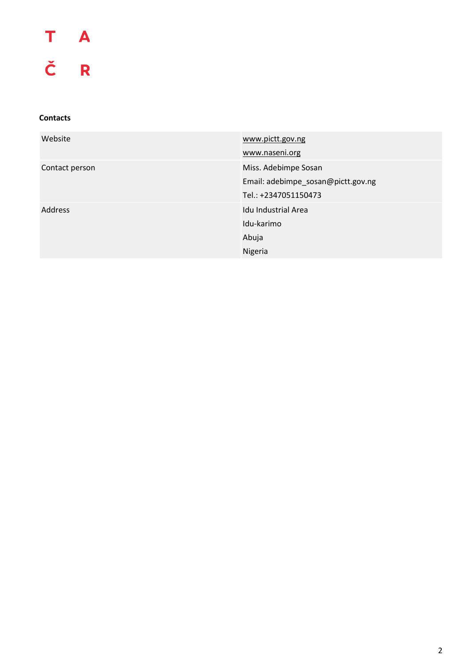# T A<br>Č R

| Website        | www.pictt.gov.ng                   |
|----------------|------------------------------------|
|                | www.naseni.org                     |
| Contact person | Miss. Adebimpe Sosan               |
|                | Email: adebimpe_sosan@pictt.gov.ng |
|                | Tel.: +2347051150473               |
| <b>Address</b> | Idu Industrial Area                |
|                | Idu-karimo                         |
|                | Abuja                              |
|                | Nigeria                            |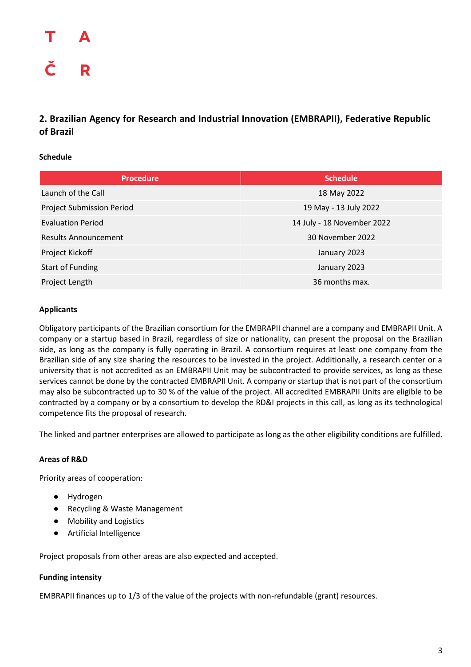# R

#### <span id="page-3-0"></span>**2. Brazilian Agency for Research and Industrial Innovation (EMBRAPII), Federative Republic of Brazil**

#### **Schedule**

| <b>Procedure</b>                 | <b>Schedule</b>            |
|----------------------------------|----------------------------|
| Launch of the Call               | 18 May 2022                |
| <b>Project Submission Period</b> | 19 May - 13 July 2022      |
| <b>Evaluation Period</b>         | 14 July - 18 November 2022 |
| <b>Results Announcement</b>      | 30 November 2022           |
| Project Kickoff                  | January 2023               |
| <b>Start of Funding</b>          | January 2023               |
| Project Length                   | 36 months max.             |

#### **Applicants**

Obligatory participants of the Brazilian consortium for the EMBRAPII channel are a company and EMBRAPII Unit. A company or a startup based in Brazil, regardless of size or nationality, can present the proposal on the Brazilian side, as long as the company is fully operating in Brazil. A consortium requires at least one company from the Brazilian side of any size sharing the resources to be invested in the project. Additionally, a research center or a university that is not accredited as an EMBRAPII Unit may be subcontracted to provide services, as long as these services cannot be done by the contracted EMBRAPII Unit. A company or startup that is not part of the consortium may also be subcontracted up to 30 % of the value of the project. All accredited EMBRAPII Units are eligible to be contracted by a company or by a consortium to develop the RD&I projects in this call, as long as its technological competence fits the proposal of research.

The linked and partner enterprises are allowed to participate as long as the other eligibility conditions are fulfilled.

#### **Areas of R&D**

Priority areas of cooperation:

- Hydrogen
- Recycling & Waste Management
- Mobility and Logistics
- Artificial Intelligence

Project proposals from other areas are also expected and accepted.

#### **Funding intensity**

EMBRAPII finances up to 1/3 of the value of the projects with non-refundable (grant) resources.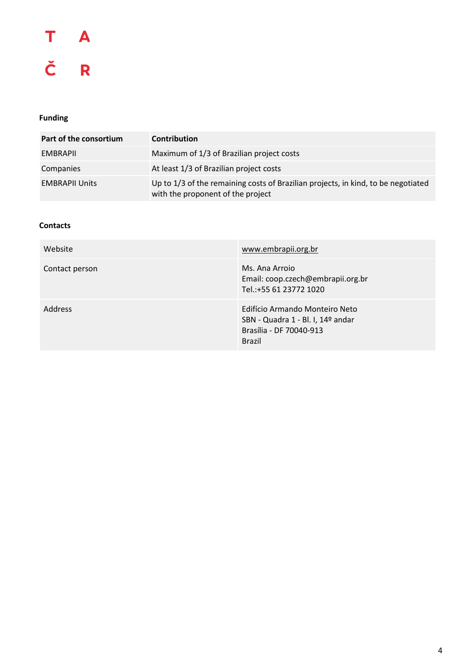### T  $\overline{A}$ Č R

#### **Funding**

| Part of the consortium | <b>Contribution</b>                                                                                                    |
|------------------------|------------------------------------------------------------------------------------------------------------------------|
| EMBRAPII               | Maximum of 1/3 of Brazilian project costs                                                                              |
| Companies              | At least 1/3 of Brazilian project costs                                                                                |
| <b>EMBRAPII Units</b>  | Up to 1/3 of the remaining costs of Brazilian projects, in kind, to be negotiated<br>with the proponent of the project |

| Website        | www.embrapii.org.br                                                                                             |
|----------------|-----------------------------------------------------------------------------------------------------------------|
| Contact person | Ms. Ana Arroio<br>Email: coop.czech@embrapii.org.br<br>Tel.:+55 61 23772 1020                                   |
| <b>Address</b> | Edifício Armando Monteiro Neto<br>SBN - Quadra 1 - Bl. I, 14º andar<br>Brasília - DF 70040-913<br><b>Brazil</b> |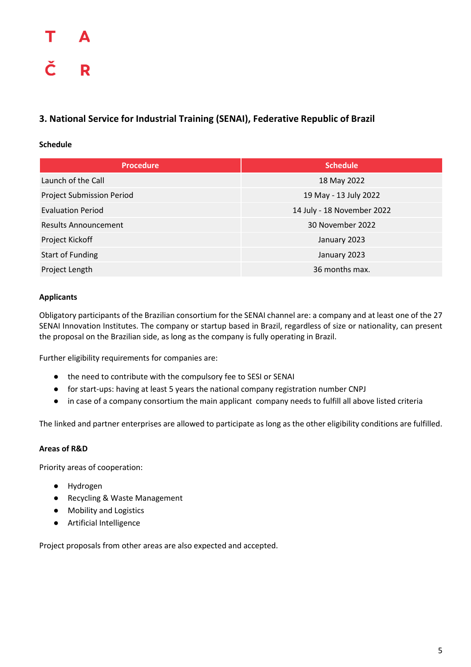#### <span id="page-5-0"></span>**3. National Service for Industrial Training (SENAI), Federative Republic of Brazil**

#### **Schedule**

| <b>Procedure</b>            | <b>Schedule</b>            |
|-----------------------------|----------------------------|
| Launch of the Call          | 18 May 2022                |
| Project Submission Period   | 19 May - 13 July 2022      |
| <b>Evaluation Period</b>    | 14 July - 18 November 2022 |
| <b>Results Announcement</b> | 30 November 2022           |
| Project Kickoff             | January 2023               |
| <b>Start of Funding</b>     | January 2023               |
| Project Length              | 36 months max.             |

#### **Applicants**

Obligatory participants of the Brazilian consortium for the SENAI channel are: a company and at least one of the 27 SENAI Innovation Institutes. The company or startup based in Brazil, regardless of size or nationality, can present the proposal on the Brazilian side, as long as the company is fully operating in Brazil.

Further eligibility requirements for companies are:

- the need to contribute with the compulsory fee to SESI or SENAI
- for start-ups: having at least 5 years the national company registration number CNPJ
- in case of a company consortium the main applicant company needs to fulfill all above listed criteria

The linked and partner enterprises are allowed to participate as long as the other eligibility conditions are fulfilled.

#### **Areas of R&D**

Priority areas of cooperation:

- Hydrogen
- Recycling & Waste Management
- Mobility and Logistics
- Artificial Intelligence

Project proposals from other areas are also expected and accepted.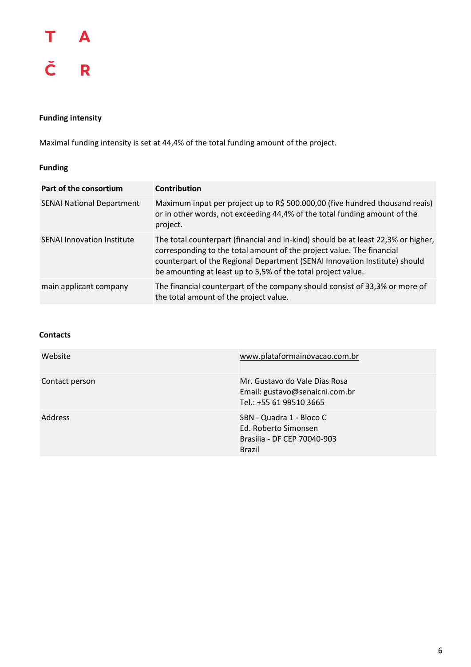

#### **Funding intensity**

Maximal funding intensity is set at 44,4% of the total funding amount of the project.

#### **Funding**

| Part of the consortium            | <b>Contribution</b>                                                                                                                                                                                                                                                                                      |
|-----------------------------------|----------------------------------------------------------------------------------------------------------------------------------------------------------------------------------------------------------------------------------------------------------------------------------------------------------|
| <b>SENAI National Department</b>  | Maximum input per project up to R\$ 500.000,00 (five hundred thousand reais)<br>or in other words, not exceeding 44,4% of the total funding amount of the<br>project.                                                                                                                                    |
| <b>SENAI Innovation Institute</b> | The total counterpart (financial and in-kind) should be at least 22,3% or higher,<br>corresponding to the total amount of the project value. The financial<br>counterpart of the Regional Department (SENAI Innovation Institute) should<br>be amounting at least up to 5,5% of the total project value. |
| main applicant company            | The financial counterpart of the company should consist of 33,3% or more of<br>the total amount of the project value.                                                                                                                                                                                    |

| Website        | www.plataformainovacao.com.br                                                                    |
|----------------|--------------------------------------------------------------------------------------------------|
| Contact person | Mr. Gustavo do Vale Dias Rosa<br>Email: gustavo@senaicni.com.br<br>Tel.: +55 61 99510 3665       |
| <b>Address</b> | SBN - Quadra 1 - Bloco C<br>Ed. Roberto Simonsen<br>Brasília - DF CEP 70040-903<br><b>Brazil</b> |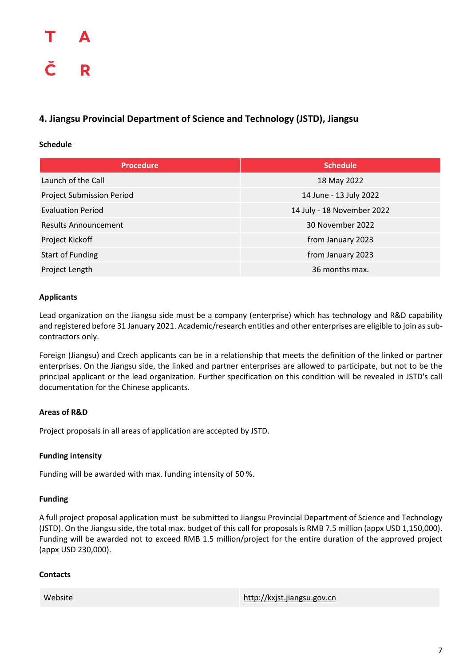#### <span id="page-7-0"></span>**4. Jiangsu Provincial Department of Science and Technology (JSTD), Jiangsu**

#### **Schedule**

| <b>Procedure</b>                 | <b>Schedule</b>            |
|----------------------------------|----------------------------|
| Launch of the Call               | 18 May 2022                |
| <b>Project Submission Period</b> | 14 June - 13 July 2022     |
| <b>Evaluation Period</b>         | 14 July - 18 November 2022 |
| <b>Results Announcement</b>      | 30 November 2022           |
| Project Kickoff                  | from January 2023          |
| <b>Start of Funding</b>          | from January 2023          |
| Project Length                   | 36 months max.             |

#### **Applicants**

Lead organization on the Jiangsu side must be a company (enterprise) which has technology and R&D capability and registered before 31 January 2021. Academic/research entities and other enterprises are eligible to join as subcontractors only.

Foreign (Jiangsu) and Czech applicants can be in a relationship that meets the definition of the linked or partner enterprises. On the Jiangsu side, the linked and partner enterprises are allowed to participate, but not to be the principal applicant or the lead organization. Further specification on this condition will be revealed in JSTD's call documentation for the Chinese applicants.

#### **Areas of R&D**

Project proposals in all areas of application are accepted by JSTD.

#### **Funding intensity**

Funding will be awarded with max. funding intensity of 50 %.

#### **Funding**

A full project proposal application must be submitted to Jiangsu Provincial Department of Science and Technology (JSTD). On the Jiangsu side, the total max. budget of this call for proposals is RMB 7.5 million (appx USD 1,150,000). Funding will be awarded not to exceed RMB 1.5 million/project for the entire duration of the approved project (appx USD 230,000).

| Website | http://kxjst.jiangsu.gov.cn |
|---------|-----------------------------|
|         |                             |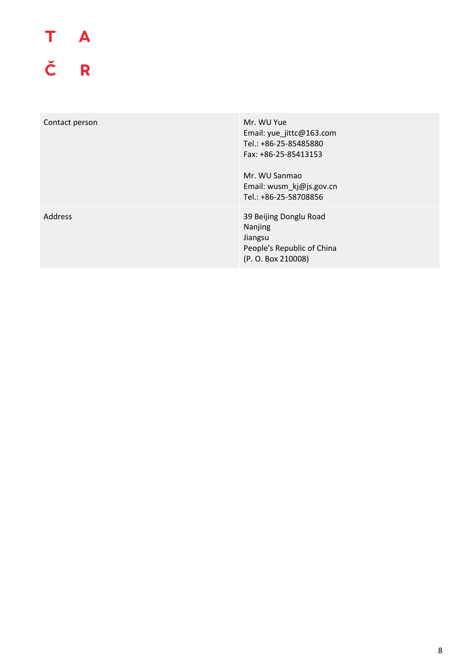# T A<br>Č R

<span id="page-8-0"></span>

| Contact person | Mr. WU Yue<br>Email: yue_jittc@163.com<br>Tel.: +86-25-85485880<br>Fax: +86-25-85413153<br>Mr. WU Sanmao<br>Email: wusm_kj@js.gov.cn<br>Tel.: +86-25-58708856 |
|----------------|---------------------------------------------------------------------------------------------------------------------------------------------------------------|
| Address        | 39 Beijing Donglu Road<br>Nanjing<br>Jiangsu<br>People's Republic of China<br>(P. O. Box 210008)                                                              |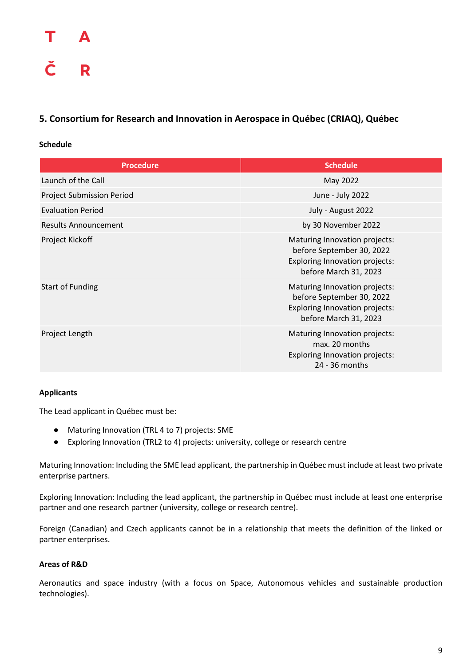#### **5. Consortium for Research and Innovation in Aerospace in Québec (CRIAQ), Québec**

#### **Schedule**

| <b>Procedure</b>                 | <b>Schedule</b>                                                                                                       |
|----------------------------------|-----------------------------------------------------------------------------------------------------------------------|
| Launch of the Call               | May 2022                                                                                                              |
| <b>Project Submission Period</b> | June - July 2022                                                                                                      |
| <b>Evaluation Period</b>         | July - August 2022                                                                                                    |
| Results Announcement             | by 30 November 2022                                                                                                   |
| Project Kickoff                  | Maturing Innovation projects:<br>before September 30, 2022<br>Exploring Innovation projects:<br>before March 31, 2023 |
| <b>Start of Funding</b>          | Maturing Innovation projects:<br>before September 30, 2022<br>Exploring Innovation projects:<br>before March 31, 2023 |
| Project Length                   | Maturing Innovation projects:<br>max. 20 months<br>Exploring Innovation projects:<br>24 - 36 months                   |

#### **Applicants**

The Lead applicant in Québec must be:

- Maturing Innovation (TRL 4 to 7) projects: SME
- Exploring Innovation (TRL2 to 4) projects: university, college or research centre

Maturing Innovation: Including the SME lead applicant, the partnership in Québec must include at least two private enterprise partners.

Exploring Innovation: Including the lead applicant, the partnership in Québec must include at least one enterprise partner and one research partner (university, college or research centre).

Foreign (Canadian) and Czech applicants cannot be in a relationship that meets the definition of the linked or partner enterprises.

#### **Areas of R&D**

Aeronautics and space industry (with a focus on Space, Autonomous vehicles and sustainable production technologies).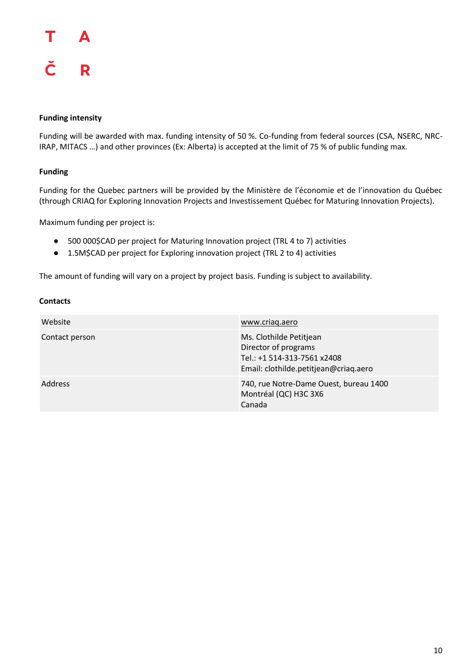#### Т Δ Č R

#### **Funding intensity**

Funding will be awarded with max. funding intensity of 50 %. Co-funding from federal sources (CSA, NSERC, NRC-IRAP, MITACS …) and other provinces (Ex: Alberta) is accepted at the limit of 75 % of public funding max.

#### **Funding**

Funding for the Quebec partners will be provided by the Ministère de l'économie et de l'innovation du Québec (through CRIAQ for Exploring Innovation Projects and Investissement Québec for Maturing Innovation Projects).

Maximum funding per project is:

- 500 000\$CAD per project for Maturing Innovation project (TRL 4 to 7) activities
- 1.5M\$CAD per project for Exploring innovation project (TRL 2 to 4) activities

The amount of funding will vary on a project by project basis. Funding is subject to availability.

| Website        | www.criag.aero                                                                                                          |
|----------------|-------------------------------------------------------------------------------------------------------------------------|
| Contact person | Ms. Clothilde Petitjean<br>Director of programs<br>Tel.: +1 514-313-7561 x2408<br>Email: clothilde.petitjean@criaq.aero |
| Address        | 740, rue Notre-Dame Ouest, bureau 1400<br>Montréal (QC) H3C 3X6<br>Canada                                               |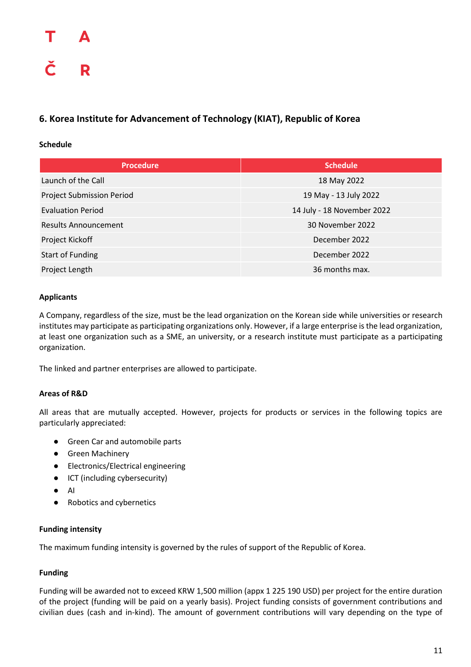#### <span id="page-11-0"></span>**6. Korea Institute for Advancement of Technology (KIAT), Republic of Korea**

#### **Schedule**

| <b>Procedure</b>                 | <b>Schedule</b>            |
|----------------------------------|----------------------------|
| Launch of the Call               | 18 May 2022                |
| <b>Project Submission Period</b> | 19 May - 13 July 2022      |
| <b>Evaluation Period</b>         | 14 July - 18 November 2022 |
| <b>Results Announcement</b>      | 30 November 2022           |
| Project Kickoff                  | December 2022              |
| <b>Start of Funding</b>          | December 2022              |
| Project Length                   | 36 months max.             |

#### **Applicants**

A Company, regardless of the size, must be the lead organization on the Korean side while universities or research institutes may participate as participating organizations only. However, if a large enterprise is the lead organization, at least one organization such as a SME, an university, or a research institute must participate as a participating organization.

The linked and partner enterprises are allowed to participate.

#### **Areas of R&D**

All areas that are mutually accepted. However, projects for products or services in the following topics are particularly appreciated:

- Green Car and automobile parts
- Green Machinery
- Electronics/Electrical engineering
- ICT (including cybersecurity)
- AI
- Robotics and cybernetics

#### **Funding intensity**

The maximum funding intensity is governed by the rules of support of the Republic of Korea.

#### **Funding**

Funding will be awarded not to exceed KRW 1,500 million (appx 1 225 190 USD) per project for the entire duration of the project (funding will be paid on a yearly basis). Project funding consists of government contributions and civilian dues (cash and in-kind). The amount of government contributions will vary depending on the type of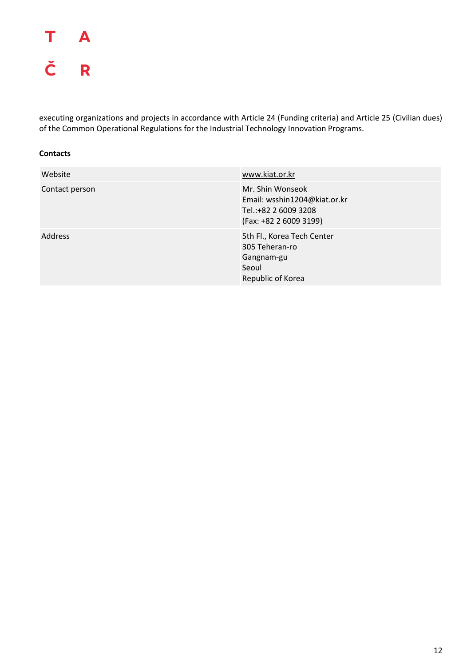### T **A** Č R

executing organizations and projects in accordance with Article 24 (Funding criteria) and Article 25 (Civilian dues) of the Common Operational Regulations for the Industrial Technology Innovation Programs.

| Website        | www.kiat.or.kr                                                                                     |
|----------------|----------------------------------------------------------------------------------------------------|
| Contact person | Mr. Shin Wonseok<br>Email: wsshin1204@kiat.or.kr<br>Tel.:+82 2 6009 3208<br>(Fax: +82 2 6009 3199) |
| <b>Address</b> | 5th Fl., Korea Tech Center<br>305 Teheran-ro<br>Gangnam-gu<br>Seoul<br>Republic of Korea           |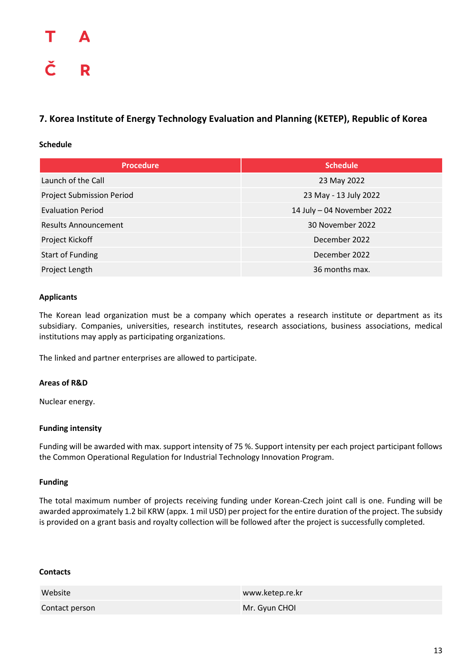#### <span id="page-13-0"></span>**7. Korea Institute of Energy Technology Evaluation and Planning (KETEP), Republic of Korea**

#### **Schedule**

| <b>Procedure</b>                 | <b>Schedule</b>            |
|----------------------------------|----------------------------|
| Launch of the Call               | 23 May 2022                |
| <b>Project Submission Period</b> | 23 May - 13 July 2022      |
| <b>Evaluation Period</b>         | 14 July - 04 November 2022 |
| <b>Results Announcement</b>      | 30 November 2022           |
| Project Kickoff                  | December 2022              |
| <b>Start of Funding</b>          | December 2022              |
| Project Length                   | 36 months max.             |

#### **Applicants**

The Korean lead organization must be a company which operates a research institute or department as its subsidiary. Companies, universities, research institutes, research associations, business associations, medical institutions may apply as participating organizations.

The linked and partner enterprises are allowed to participate.

#### **Areas of R&D**

Nuclear energy.

#### **Funding intensity**

Funding will be awarded with max. support intensity of 75 %. Support intensity per each project participant follows the Common Operational Regulation for Industrial Technology Innovation Program.

#### **Funding**

The total maximum number of projects receiving funding under Korean-Czech joint call is one. Funding will be awarded approximately 1.2 bil KRW (appx. 1 mil USD) per project for the entire duration of the project. The subsidy is provided on a grant basis and royalty collection will be followed after the project is successfully completed.

| Website        | www.ketep.re.kr |
|----------------|-----------------|
| Contact person | Mr. Gyun CHOL   |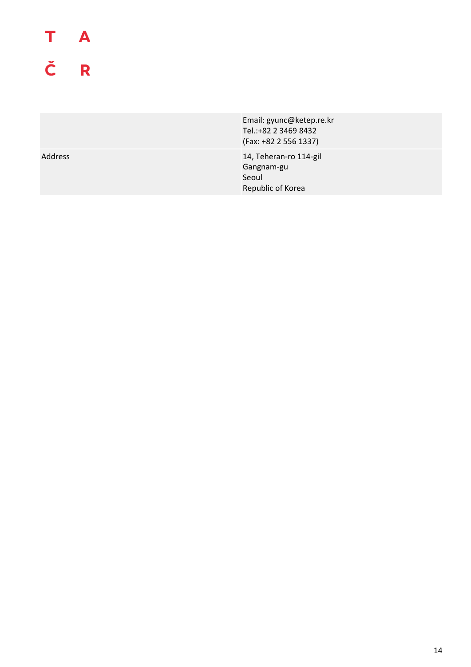## T A Č R

Email: gyunc@ketep.re.kr Tel.:+82 2 3469 8432 (Fax: +82 2 556 1337) Address 14, Teheran-ro 114-gil Gangnam-gu

Seoul

Republic of Korea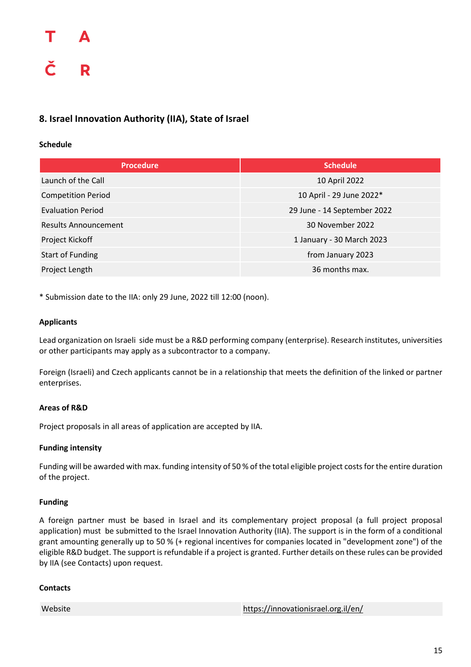#### <span id="page-15-0"></span>**8. Israel Innovation Authority (IIA), State of Israel**

#### **Schedule**

| <b>Procedure</b>            | <b>Schedule</b>             |
|-----------------------------|-----------------------------|
| Launch of the Call          | 10 April 2022               |
| <b>Competition Period</b>   | 10 April - 29 June 2022*    |
| <b>Evaluation Period</b>    | 29 June - 14 September 2022 |
| <b>Results Announcement</b> | 30 November 2022            |
| Project Kickoff             | 1 January - 30 March 2023   |
| <b>Start of Funding</b>     | from January 2023           |
| Project Length              | 36 months max.              |

\* Submission date to the IIA: only 29 June, 2022 till 12:00 (noon).

#### **Applicants**

Lead organization on Israeli side must be a R&D performing company (enterprise). Research institutes, universities or other participants may apply as a subcontractor to a company.

Foreign (Israeli) and Czech applicants cannot be in a relationship that meets the definition of the linked or partner enterprises.

#### **Areas of R&D**

Project proposals in all areas of application are accepted by IIA.

#### **Funding intensity**

Funding will be awarded with max. funding intensity of 50 % of the total eligible project costs for the entire duration of the project.

#### **Funding**

A foreign partner must be based in Israel and its complementary project proposal (a full project proposal application) must be submitted to the Israel Innovation Authority (IIA). The support is in the form of a conditional grant amounting generally up to 50 % (+ regional incentives for companies located in "development zone") of the eligible R&D budget. The support is refundable if a project is granted. Further details on these rules can be provided by IIA (see Contacts) upon request.

#### **Contacts**

Website <https://innovationisrael.org.il/en/>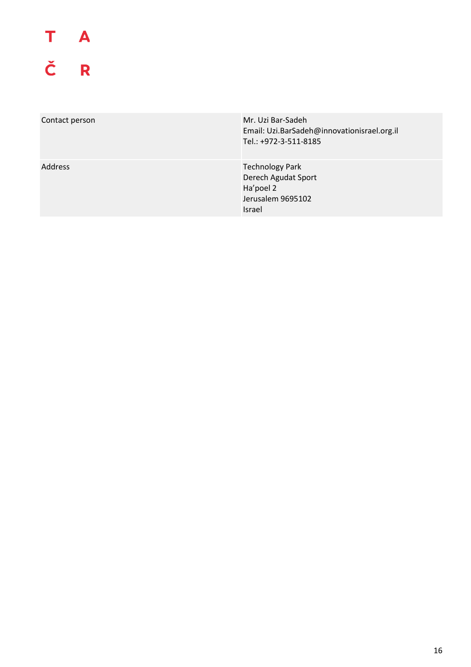# T A<br>Č R

| Contact person | Mr. Uzi Bar-Sadeh<br>Email: Uzi.BarSadeh@innovationisrael.org.il<br>Tel.: +972-3-511-8185        |
|----------------|--------------------------------------------------------------------------------------------------|
| <b>Address</b> | <b>Technology Park</b><br>Derech Agudat Sport<br>Ha'poel 2<br>Jerusalem 9695102<br><b>Israel</b> |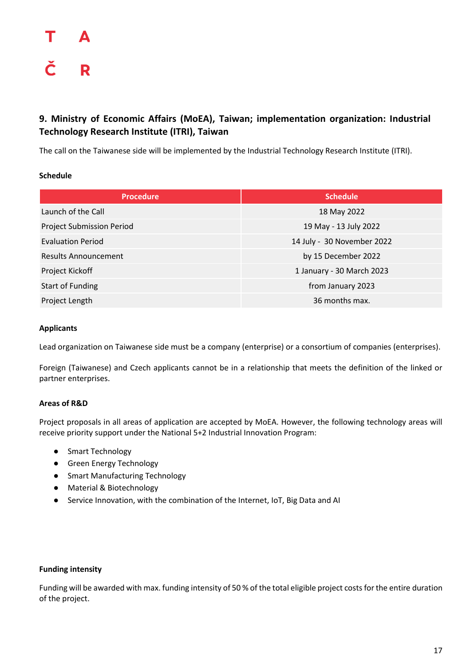#### <span id="page-17-0"></span>**9. Ministry of Economic Affairs (MoEA), Taiwan; implementation organization: Industrial Technology Research Institute (ITRI), Taiwan**

The call on the Taiwanese side will be implemented by the Industrial Technology Research Institute (ITRI).

#### **Schedule**

| <b>Procedure</b>                 | <b>Schedule</b>            |
|----------------------------------|----------------------------|
| Launch of the Call               | 18 May 2022                |
| <b>Project Submission Period</b> | 19 May - 13 July 2022      |
| <b>Evaluation Period</b>         | 14 July - 30 November 2022 |
| <b>Results Announcement</b>      | by 15 December 2022        |
| Project Kickoff                  | 1 January - 30 March 2023  |
| <b>Start of Funding</b>          | from January 2023          |
| Project Length                   | 36 months max.             |

#### **Applicants**

Lead organization on Taiwanese side must be a company (enterprise) or a consortium of companies (enterprises).

Foreign (Taiwanese) and Czech applicants cannot be in a relationship that meets the definition of the linked or partner enterprises.

#### **Areas of R&D**

Project proposals in all areas of application are accepted by MoEA. However, the following technology areas will receive priority support under the National 5+2 Industrial Innovation Program:

- Smart Technology
- Green Energy Technology
- Smart Manufacturing Technology
- Material & Biotechnology
- Service Innovation, with the combination of the Internet, IoT, Big Data and AI

#### **Funding intensity**

Funding will be awarded with max. funding intensity of 50 % of the total eligible project costs for the entire duration of the project.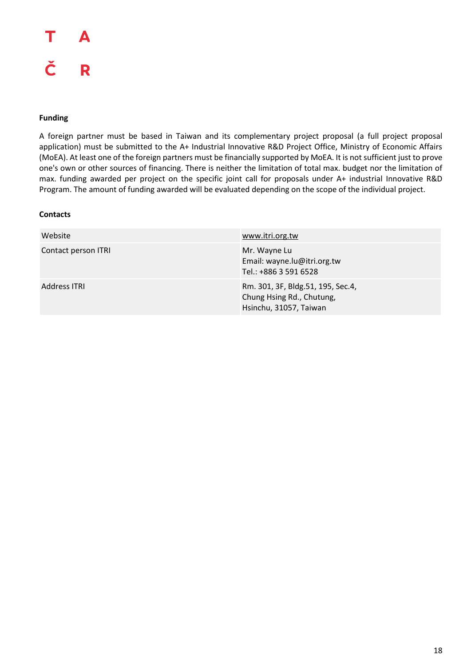#### Т А Č R

#### **Funding**

A foreign partner must be based in Taiwan and its complementary project proposal (a full project proposal application) must be submitted to the A+ Industrial Innovative R&D Project Office, Ministry of Economic Affairs (MoEA). At least one of the foreign partners must be financially supported by MoEA. It is not sufficient just to prove one's own or other sources of financing. There is neither the limitation of total max. budget nor the limitation of max. funding awarded per project on the specific joint call for proposals under A+ industrial Innovative R&D Program. The amount of funding awarded will be evaluated depending on the scope of the individual project.

| Website             | www.itri.org.tw                                                                          |
|---------------------|------------------------------------------------------------------------------------------|
| Contact person ITRI | Mr. Wayne Lu<br>Email: wayne.lu@itri.org.tw<br>Tel.: +886 3 591 6528                     |
| Address ITRI        | Rm. 301, 3F, Bldg.51, 195, Sec.4,<br>Chung Hsing Rd., Chutung,<br>Hsinchu, 31057, Taiwan |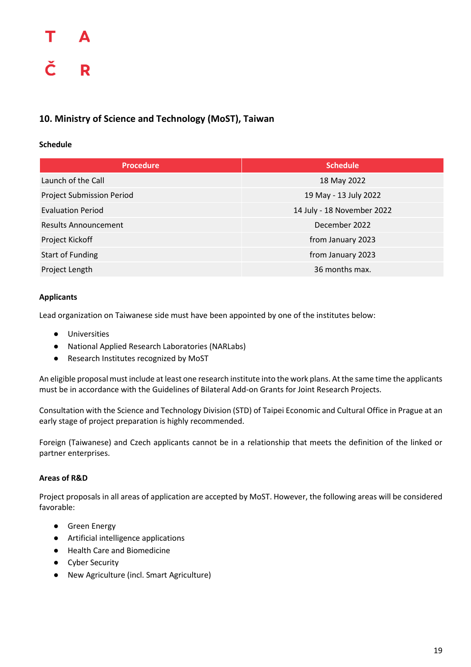### Δ Č R

#### <span id="page-19-0"></span>**10. Ministry of Science and Technology (MoST), Taiwan**

#### **Schedule**

| <b>Procedure</b>                 | <b>Schedule</b>            |
|----------------------------------|----------------------------|
| Launch of the Call               | 18 May 2022                |
| <b>Project Submission Period</b> | 19 May - 13 July 2022      |
| <b>Evaluation Period</b>         | 14 July - 18 November 2022 |
| <b>Results Announcement</b>      | December 2022              |
| Project Kickoff                  | from January 2023          |
| <b>Start of Funding</b>          | from January 2023          |
| Project Length                   | 36 months max.             |

#### **Applicants**

Lead organization on Taiwanese side must have been appointed by one of the institutes below:

- Universities
- National Applied Research Laboratories (NARLabs)
- Research Institutes recognized by MoST

An eligible proposal must include at least one research institute into the work plans. At the same time the applicants must be in accordance with the Guidelines of Bilateral Add-on Grants for Joint Research Projects.

Consultation with the Science and Technology Division (STD) of Taipei Economic and Cultural Office in Prague at an early stage of project preparation is highly recommended.

Foreign (Taiwanese) and Czech applicants cannot be in a relationship that meets the definition of the linked or partner enterprises.

#### **Areas of R&D**

Project proposals in all areas of application are accepted by MoST. However, the following areas will be considered favorable:

- Green Energy
- Artificial intelligence applications
- Health Care and Biomedicine
- Cyber Security
- New Agriculture (incl. Smart Agriculture)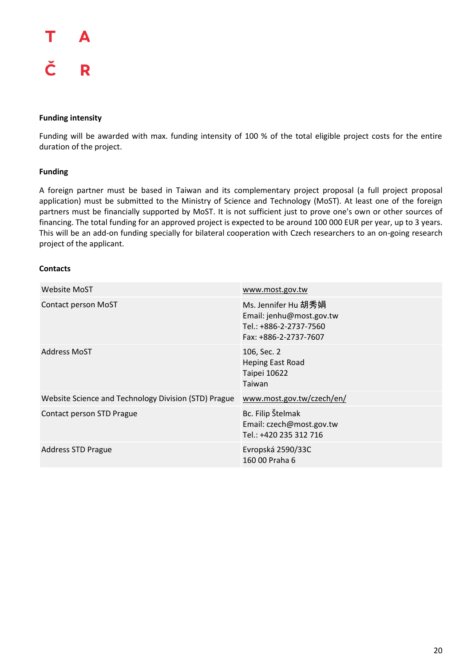#### Т Δ Č R

#### **Funding intensity**

Funding will be awarded with max. funding intensity of 100 % of the total eligible project costs for the entire duration of the project.

#### **Funding**

A foreign partner must be based in Taiwan and its complementary project proposal (a full project proposal application) must be submitted to the Ministry of Science and Technology (MoST). At least one of the foreign partners must be financially supported by MoST. It is not sufficient just to prove one's own or other sources of financing. The total funding for an approved project is expected to be around 100 000 EUR per year, up to 3 years. This will be an add-on funding specially for bilateral cooperation with Czech researchers to an on-going research project of the applicant.

| <b>Website MoST</b>                                  | www.most.gov.tw                                                                                    |
|------------------------------------------------------|----------------------------------------------------------------------------------------------------|
| Contact person MoST                                  | Ms. Jennifer Hu 胡秀娟<br>Email: jenhu@most.gov.tw<br>Tel.: +886-2-2737-7560<br>Fax: +886-2-2737-7607 |
| <b>Address MoST</b>                                  | 106, Sec. 2<br><b>Heping East Road</b><br>Taipei 10622<br>Taiwan                                   |
| Website Science and Technology Division (STD) Prague | www.most.gov.tw/czech/en/                                                                          |
| Contact person STD Prague                            | Bc. Filip Štelmak<br>Email: czech@most.gov.tw<br>Tel.: +420 235 312 716                            |
| <b>Address STD Prague</b>                            | Evropská 2590/33C<br>160 00 Praha 6                                                                |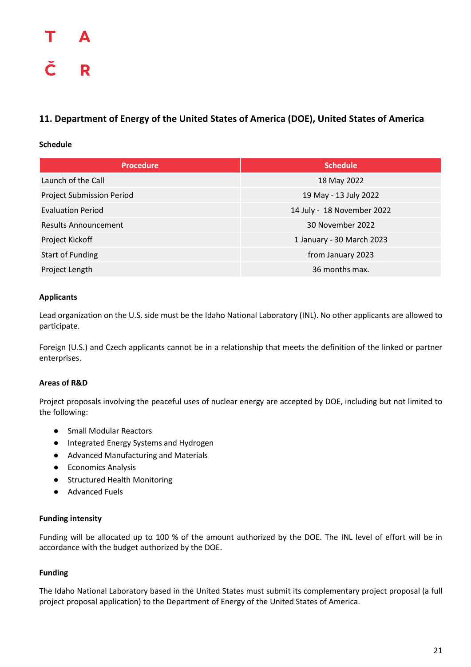#### <span id="page-21-0"></span>**11. Department of Energy of the United States of America (DOE), United States of America**

#### **Schedule**

| <b>Procedure</b>                 | <b>Schedule</b>            |
|----------------------------------|----------------------------|
| Launch of the Call               | 18 May 2022                |
| <b>Project Submission Period</b> | 19 May - 13 July 2022      |
| <b>Evaluation Period</b>         | 14 July - 18 November 2022 |
| <b>Results Announcement</b>      | 30 November 2022           |
| Project Kickoff                  | 1 January - 30 March 2023  |
| <b>Start of Funding</b>          | from January 2023          |
| Project Length                   | 36 months max.             |

#### **Applicants**

Lead organization on the U.S. side must be the Idaho National Laboratory (INL). No other applicants are allowed to participate.

Foreign (U.S.) and Czech applicants cannot be in a relationship that meets the definition of the linked or partner enterprises.

#### **Areas of R&D**

Project proposals involving the peaceful uses of nuclear energy are accepted by DOE, including but not limited to the following:

- Small Modular Reactors
- Integrated Energy Systems and Hydrogen
- Advanced Manufacturing and Materials
- Economics Analysis
- Structured Health Monitoring
- Advanced Fuels

#### **Funding intensity**

Funding will be allocated up to 100 % of the amount authorized by the DOE. The INL level of effort will be in accordance with the budget authorized by the DOE.

#### **Funding**

The Idaho National Laboratory based in the United States must submit its complementary project proposal (a full project proposal application) to the Department of Energy of the United States of America.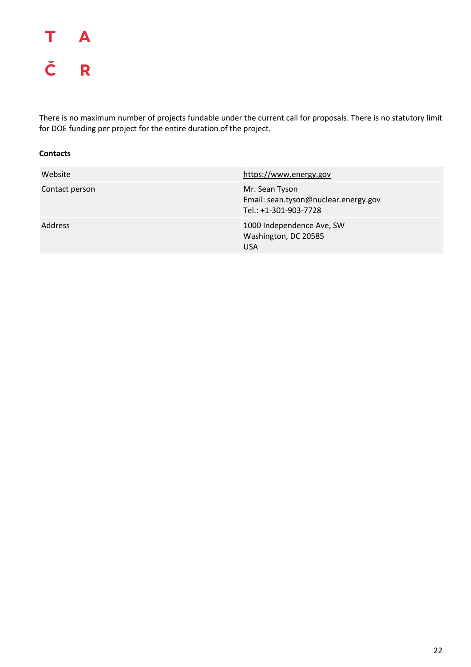

There is no maximum number of projects fundable under the current call for proposals. There is no statutory limit for DOE funding per project for the entire duration of the project.

| Website        | https://www.energy.gov                                                          |
|----------------|---------------------------------------------------------------------------------|
| Contact person | Mr. Sean Tyson<br>Email: sean.tyson@nuclear.energy.gov<br>Tel.: +1-301-903-7728 |
| <b>Address</b> | 1000 Independence Ave, SW<br>Washington, DC 20585<br><b>USA</b>                 |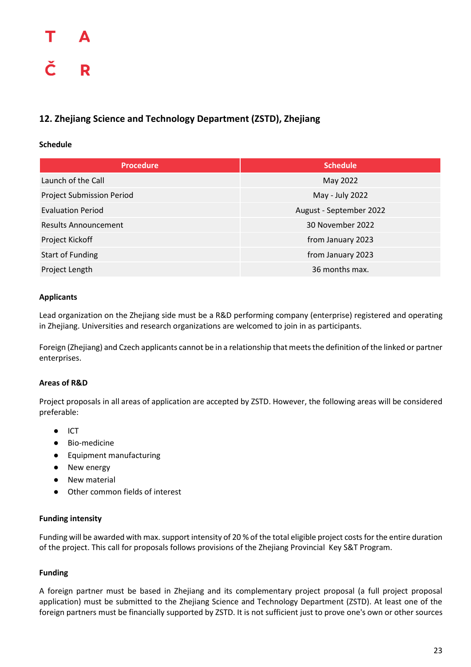#### <span id="page-23-0"></span>**12. Zhejiang Science and Technology Department (ZSTD), Zhejiang**

#### **Schedule**

| <b>Procedure</b>                 | <b>Schedule</b>         |
|----------------------------------|-------------------------|
| Launch of the Call               | May 2022                |
| <b>Project Submission Period</b> | May - July 2022         |
| <b>Evaluation Period</b>         | August - September 2022 |
| <b>Results Announcement</b>      | 30 November 2022        |
| Project Kickoff                  | from January 2023       |
| <b>Start of Funding</b>          | from January 2023       |
| Project Length                   | 36 months max.          |

#### **Applicants**

Lead organization on the Zhejiang side must be a R&D performing company (enterprise) registered and operating in Zhejiang. Universities and research organizations are welcomed to join in as participants.

Foreign (Zhejiang) and Czech applicants cannot be in a relationship that meets the definition of the linked or partner enterprises.

#### **Areas of R&D**

Project proposals in all areas of application are accepted by ZSTD. However, the following areas will be considered preferable:

- ICT
- Bio-medicine
- Equipment manufacturing
- New energy
- **New material**
- Other common fields of interest

#### **Funding intensity**

Funding will be awarded with max. support intensity of 20 % of the total eligible project costs for the entire duration of the project. This call for proposals follows provisions of the Zhejiang Provincial Key S&T Program.

#### **Funding**

A foreign partner must be based in Zhejiang and its complementary project proposal (a full project proposal application) must be submitted to the Zhejiang Science and Technology Department (ZSTD). At least one of the foreign partners must be financially supported by ZSTD. It is not sufficient just to prove one's own or other sources